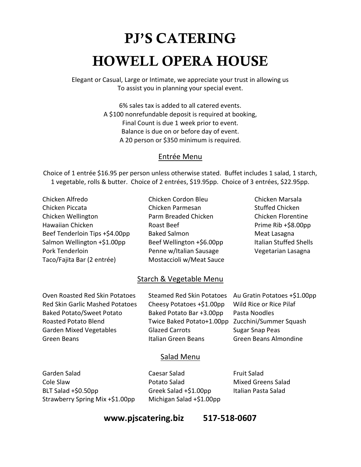# PJ'S CATERING HOWELL OPERA HOUSE

Elegant or Casual, Large or Intimate, we appreciate your trust in allowing us To assist you in planning your special event.

> 6% sales tax is added to all catered events. A \$100 nonrefundable deposit is required at booking, Final Count is due 1 week prior to event. Balance is due on or before day of event. A 20 person or \$350 minimum is required.

#### Entrée Menu

Choice of 1 entrée \$16.95 per person unless otherwise stated. Buffet includes 1 salad, 1 starch, 1 vegetable, rolls & butter. Choice of 2 entrées, \$19.95pp. Choice of 3 entrées, \$22.95pp.

Chicken Alfredo Chicken Cordon Bleu Chicken Marsala Chicken Piccata Chicken Parmesan Stuffed Chicken Chicken Wellington Parm Breaded Chicken Chicken Florentine Hawaiian Chicken **Roast Beef** Prime Rib +\$8.00pp Prime Rib +\$8.00pp Beef Tenderloin Tips +\$4.00pp Baked Salmon Baked Salmon Salmon Wellington +\$1.00pp Beef Wellington +\$6.00pp ltalian Stuffed Shells Pork Tenderloin **Penne w/Italian Sausage** Vegetarian Lasagna Taco/Fajita Bar (2 entrée) Mostaccioli w/Meat Sauce

#### Starch & Vegetable Menu

|                                                  | Steamed Red Skin Potatoes Au Gratin Potatoes +\$1.00pp |
|--------------------------------------------------|--------------------------------------------------------|
| Cheesy Potatoes +\$1.00pp                        | Wild Rice or Rice Pilaf                                |
| Baked Potato Bar +3.00pp                         | Pasta Noodles                                          |
| Twice Baked Potato+1.00pp Zucchini/Summer Squash |                                                        |
| <b>Glazed Carrots</b>                            | Sugar Snap Peas                                        |
| Italian Green Beans                              | Green Beans Almondine                                  |
|                                                  |                                                        |

#### Salad Menu

Garden Salad Caesar Salad Fruit Salad Cole Slaw Potato Salad Mixed Greens Salad BLT Salad +\$0.50pp Greek Salad +\$1.00pp Italian Pasta Salad Strawberry Spring Mix +\$1.00pp Michigan Salad +\$1.00pp

### www.pjscatering.biz 517-518-0607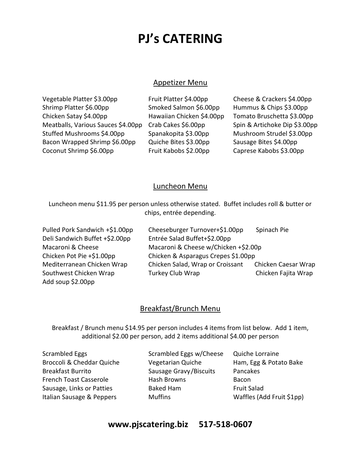# PJ's CATERING

#### Appetizer Menu

Vegetable Platter \$3.00pp Fruit Platter \$4.00pp Cheese & Crackers \$4.00pp Shrimp Platter \$6.00pp Smoked Salmon \$6.00pp Hummus & Chips \$3.00pp Chicken Satay \$4.00pp Hawaiian Chicken \$4.00pp Tomato Bruschetta \$3.00pp Meatballs, Various Sauces \$4.00pp Crab Cakes \$6.00pp Spin & Artichoke Dip \$3.00pp Stuffed Mushrooms \$4.00pp Spanakopita \$3.00pp Mushroom Strudel \$3.00pp Bacon Wrapped Shrimp \$6.00pp Quiche Bites \$3.00pp Sausage Bites \$4.00pp Coconut Shrimp \$6.00pp Fruit Kabobs \$2.00pp Caprese Kabobs \$3.00pp

#### Luncheon Menu

Luncheon menu \$11.95 per person unless otherwise stated. Buffet includes roll & butter or chips, entrée depending.

Deli Sandwich Buffet +\$2.00pp Entrée Salad Buffet+\$2.00pp Add soup \$2.00pp

Pulled Pork Sandwich +\$1.00pp Cheeseburger Turnover+\$1.00pp Spinach Pie Macaroni & Cheese Macaroni & Cheese w/Chicken +\$2.00p Chicken Pot Pie +\$1.00pp Chicken & Asparagus Crepes \$1.00pp Mediterranean Chicken Wrap Chicken Salad, Wrap or Croissant Chicken Caesar Wrap Southwest Chicken Wrap Turkey Club Wrap Chicken Fajita Wrap

### Breakfast/Brunch Menu

Breakfast / Brunch menu \$14.95 per person includes 4 items from list below. Add 1 item, additional \$2.00 per person, add 2 items additional \$4.00 per person

Scrambled Eggs Scrambled Eggs w/Cheese Quiche Lorraine Broccoli & Cheddar Quiche Vegetarian Quiche Ham, Egg & Potato Bake Breakfast Burrito Sausage Gravy /Biscuits Pancakes French Toast Casserole **Hash Browns** Bacon Sausage, Links or Patties **Baked Ham** Fruit Salad Italian Sausage & Peppers Muffins Muslem Muslem Waffles (Add Fruit \$1pp)

## www.pjscatering.biz 517-518-0607